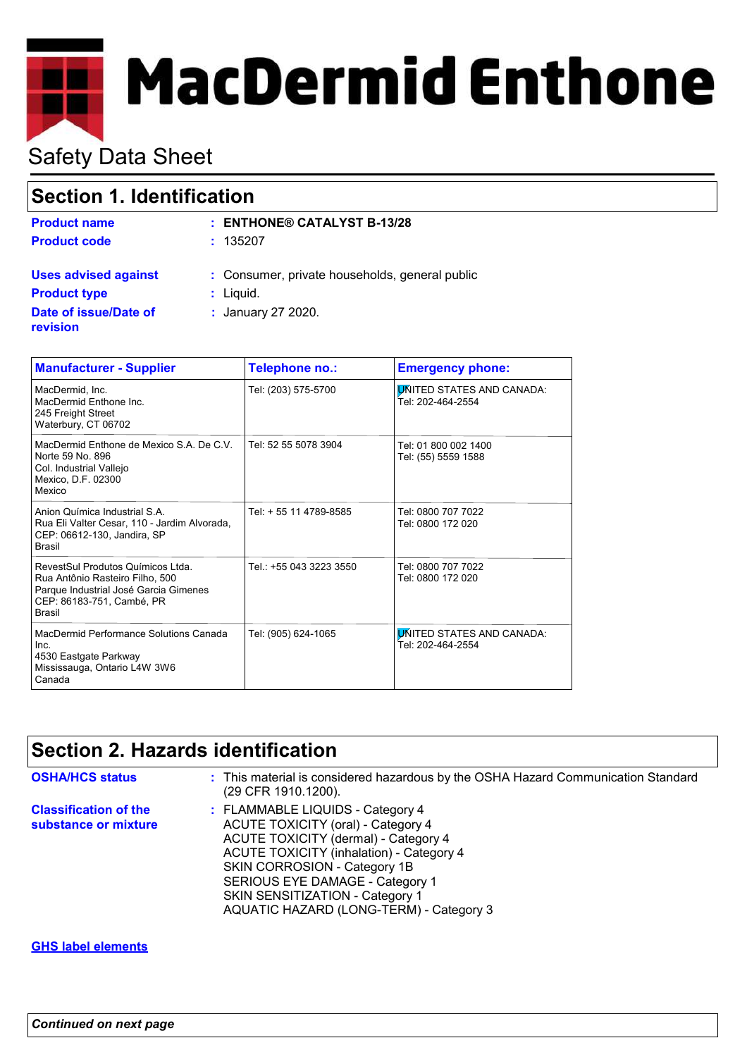

# Safety Data Sheet

| <b>Section 1. Identification</b>         |                                                |
|------------------------------------------|------------------------------------------------|
| <b>Product name</b>                      | $:$ ENTHONE® CATALYST B-13/28                  |
| <b>Product code</b>                      | : 135207                                       |
| <b>Uses advised against</b>              | : Consumer, private households, general public |
| <b>Product type</b>                      | : Liquid.                                      |
| Date of issue/Date of<br><b>revision</b> | : January 27 2020.                             |

| <b>Manufacturer - Supplier</b>                                                                                                                              | Telephone no.:          | <b>Emergency phone:</b>                               |
|-------------------------------------------------------------------------------------------------------------------------------------------------------------|-------------------------|-------------------------------------------------------|
| MacDermid, Inc.<br>MacDermid Enthone Inc.<br>245 Freight Street<br>Waterbury, CT 06702                                                                      | Tel: (203) 575-5700     | <b>UNITED STATES AND CANADA:</b><br>Tel: 202-464-2554 |
| MacDermid Enthone de Mexico S.A. De C.V.<br>Norte 59 No. 896<br>Col. Industrial Vallejo<br>Mexico, D.F. 02300<br>Mexico                                     | Tel: 52 55 5078 3904    | Tel: 01 800 002 1400<br>Tel: (55) 5559 1588           |
| Anion Química Industrial S.A.<br>Rua Eli Valter Cesar, 110 - Jardim Alvorada,<br>CEP: 06612-130, Jandira, SP<br><b>Brasil</b>                               | Tel: + 55 11 4789-8585  | Tel: 0800 707 7022<br>Tel: 0800 172 020               |
| RevestSul Produtos Químicos Ltda.<br>Rua Antônio Rasteiro Filho, 500<br>Parque Industrial José Garcia Gimenes<br>CEP: 86183-751, Cambé, PR<br><b>Brasil</b> | Tel.: +55 043 3223 3550 | Tel: 0800 707 7022<br>Tel: 0800 172 020               |
| MacDermid Performance Solutions Canada<br>Inc.<br>4530 Eastgate Parkway<br>Mississauga, Ontario L4W 3W6<br>Canada                                           | Tel: (905) 624-1065     | <b>UNITED STATES AND CANADA:</b><br>Tel: 202-464-2554 |

### **Section 2. Hazards identification**

| <b>OSHA/HCS status</b>                               | : This material is considered hazardous by the OSHA Hazard Communication Standard<br>(29 CFR 1910.1200).                                                                                                                                                                                                           |
|------------------------------------------------------|--------------------------------------------------------------------------------------------------------------------------------------------------------------------------------------------------------------------------------------------------------------------------------------------------------------------|
| <b>Classification of the</b><br>substance or mixture | : FLAMMABLE LIQUIDS - Category 4<br>ACUTE TOXICITY (oral) - Category 4<br>ACUTE TOXICITY (dermal) - Category 4<br><b>ACUTE TOXICITY (inhalation) - Category 4</b><br>SKIN CORROSION - Category 1B<br>SERIOUS EYE DAMAGE - Category 1<br>SKIN SENSITIZATION - Category 1<br>AQUATIC HAZARD (LONG-TERM) - Category 3 |

#### **GHS label elements**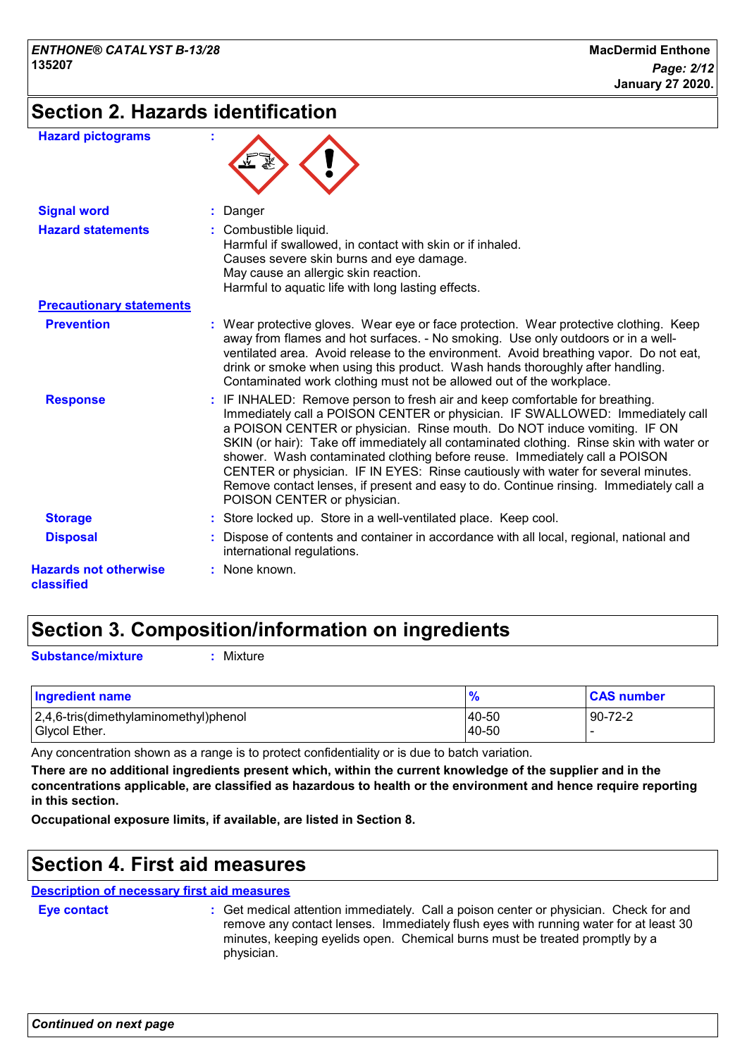### **Section 2. Hazards identification**

| <b>Hazard pictograms</b>                   |                                                                                                                                                                                                                                                                                                                                                                                                                                                                                                                                                                                                                                   |
|--------------------------------------------|-----------------------------------------------------------------------------------------------------------------------------------------------------------------------------------------------------------------------------------------------------------------------------------------------------------------------------------------------------------------------------------------------------------------------------------------------------------------------------------------------------------------------------------------------------------------------------------------------------------------------------------|
| <b>Signal word</b>                         | Danger                                                                                                                                                                                                                                                                                                                                                                                                                                                                                                                                                                                                                            |
| <b>Hazard statements</b>                   | : Combustible liquid.<br>Harmful if swallowed, in contact with skin or if inhaled.<br>Causes severe skin burns and eye damage.<br>May cause an allergic skin reaction.<br>Harmful to aquatic life with long lasting effects.                                                                                                                                                                                                                                                                                                                                                                                                      |
| <b>Precautionary statements</b>            |                                                                                                                                                                                                                                                                                                                                                                                                                                                                                                                                                                                                                                   |
| <b>Prevention</b>                          | : Wear protective gloves. Wear eye or face protection. Wear protective clothing. Keep<br>away from flames and hot surfaces. - No smoking. Use only outdoors or in a well-<br>ventilated area. Avoid release to the environment. Avoid breathing vapor. Do not eat,<br>drink or smoke when using this product. Wash hands thoroughly after handling.<br>Contaminated work clothing must not be allowed out of the workplace.                                                                                                                                                                                                       |
| <b>Response</b>                            | : IF INHALED: Remove person to fresh air and keep comfortable for breathing.<br>Immediately call a POISON CENTER or physician. IF SWALLOWED: Immediately call<br>a POISON CENTER or physician. Rinse mouth. Do NOT induce vomiting. IF ON<br>SKIN (or hair): Take off immediately all contaminated clothing. Rinse skin with water or<br>shower. Wash contaminated clothing before reuse. Immediately call a POISON<br>CENTER or physician. IF IN EYES: Rinse cautiously with water for several minutes.<br>Remove contact lenses, if present and easy to do. Continue rinsing. Immediately call a<br>POISON CENTER or physician. |
| <b>Storage</b>                             | : Store locked up. Store in a well-ventilated place. Keep cool.                                                                                                                                                                                                                                                                                                                                                                                                                                                                                                                                                                   |
| <b>Disposal</b>                            | : Dispose of contents and container in accordance with all local, regional, national and<br>international regulations.                                                                                                                                                                                                                                                                                                                                                                                                                                                                                                            |
| <b>Hazards not otherwise</b><br>classified | : None known.                                                                                                                                                                                                                                                                                                                                                                                                                                                                                                                                                                                                                     |

### **Section 3. Composition/information on ingredients**

**Substance/mixture :** Mixture

| <b>Ingredient name</b>                                 |                | <b>CAS number</b> |
|--------------------------------------------------------|----------------|-------------------|
| 2,4,6-tris(dimethylaminomethyl)phenol<br>Glycol Ether. | 40-50<br>40-50 | $90 - 72 - 2$     |

Any concentration shown as a range is to protect confidentiality or is due to batch variation.

**There are no additional ingredients present which, within the current knowledge of the supplier and in the concentrations applicable, are classified as hazardous to health or the environment and hence require reporting in this section.**

**Occupational exposure limits, if available, are listed in Section 8.**

### **Section 4. First aid measures**

**Description of necessary first aid measures**

**Eye contact :**

Get medical attention immediately. Call a poison center or physician. Check for and remove any contact lenses. Immediately flush eyes with running water for at least 30 minutes, keeping eyelids open. Chemical burns must be treated promptly by a physician.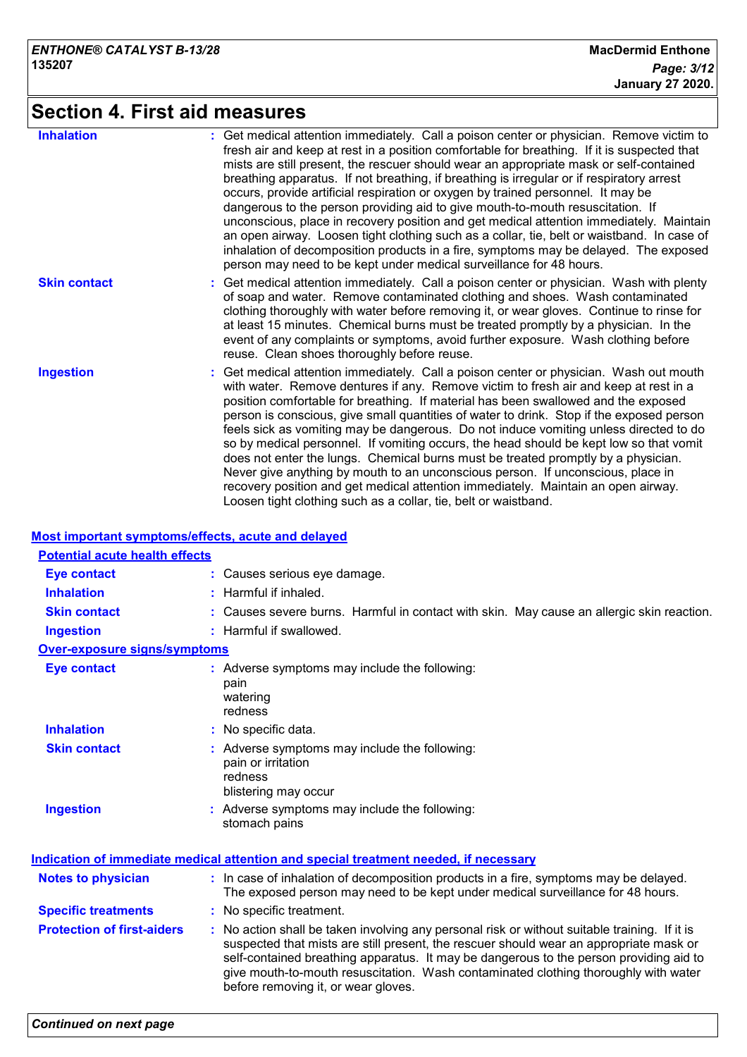# **Section 4. First aid measures**

| <b>Inhalation</b>   | : Get medical attention immediately. Call a poison center or physician. Remove victim to<br>fresh air and keep at rest in a position comfortable for breathing. If it is suspected that<br>mists are still present, the rescuer should wear an appropriate mask or self-contained<br>breathing apparatus. If not breathing, if breathing is irregular or if respiratory arrest<br>occurs, provide artificial respiration or oxygen by trained personnel. It may be<br>dangerous to the person providing aid to give mouth-to-mouth resuscitation. If<br>unconscious, place in recovery position and get medical attention immediately. Maintain<br>an open airway. Loosen tight clothing such as a collar, tie, belt or waistband. In case of<br>inhalation of decomposition products in a fire, symptoms may be delayed. The exposed<br>person may need to be kept under medical surveillance for 48 hours. |
|---------------------|--------------------------------------------------------------------------------------------------------------------------------------------------------------------------------------------------------------------------------------------------------------------------------------------------------------------------------------------------------------------------------------------------------------------------------------------------------------------------------------------------------------------------------------------------------------------------------------------------------------------------------------------------------------------------------------------------------------------------------------------------------------------------------------------------------------------------------------------------------------------------------------------------------------|
| <b>Skin contact</b> | : Get medical attention immediately. Call a poison center or physician. Wash with plenty<br>of soap and water. Remove contaminated clothing and shoes. Wash contaminated<br>clothing thoroughly with water before removing it, or wear gloves. Continue to rinse for<br>at least 15 minutes. Chemical burns must be treated promptly by a physician. In the<br>event of any complaints or symptoms, avoid further exposure. Wash clothing before<br>reuse. Clean shoes thoroughly before reuse.                                                                                                                                                                                                                                                                                                                                                                                                              |
| <b>Ingestion</b>    | : Get medical attention immediately. Call a poison center or physician. Wash out mouth<br>with water. Remove dentures if any. Remove victim to fresh air and keep at rest in a<br>position comfortable for breathing. If material has been swallowed and the exposed<br>person is conscious, give small quantities of water to drink. Stop if the exposed person<br>feels sick as vomiting may be dangerous. Do not induce vomiting unless directed to do<br>so by medical personnel. If vomiting occurs, the head should be kept low so that vomit<br>does not enter the lungs. Chemical burns must be treated promptly by a physician.<br>Never give anything by mouth to an unconscious person. If unconscious, place in<br>recovery position and get medical attention immediately. Maintain an open airway.<br>Loosen tight clothing such as a collar, tie, belt or waistband.                          |

#### **Most important symptoms/effects, acute and delayed**

| <b>Potential acute health effects</b> |                                                                                                                                                                                                                                                                                                                                                                                                                 |  |
|---------------------------------------|-----------------------------------------------------------------------------------------------------------------------------------------------------------------------------------------------------------------------------------------------------------------------------------------------------------------------------------------------------------------------------------------------------------------|--|
| <b>Eye contact</b>                    | : Causes serious eye damage.                                                                                                                                                                                                                                                                                                                                                                                    |  |
| <b>Inhalation</b>                     | $:$ Harmful if inhaled.                                                                                                                                                                                                                                                                                                                                                                                         |  |
| <b>Skin contact</b>                   | : Causes severe burns. Harmful in contact with skin. May cause an allergic skin reaction.                                                                                                                                                                                                                                                                                                                       |  |
| <b>Ingestion</b>                      | : Harmful if swallowed.                                                                                                                                                                                                                                                                                                                                                                                         |  |
| Over-exposure signs/symptoms          |                                                                                                                                                                                                                                                                                                                                                                                                                 |  |
| <b>Eye contact</b>                    | : Adverse symptoms may include the following:<br>pain<br>watering<br>redness                                                                                                                                                                                                                                                                                                                                    |  |
| <b>Inhalation</b>                     | : No specific data.                                                                                                                                                                                                                                                                                                                                                                                             |  |
| <b>Skin contact</b>                   | : Adverse symptoms may include the following:<br>pain or irritation<br>redness<br>blistering may occur                                                                                                                                                                                                                                                                                                          |  |
| <b>Ingestion</b>                      | : Adverse symptoms may include the following:<br>stomach pains                                                                                                                                                                                                                                                                                                                                                  |  |
|                                       | <u>Indication of immediate medical attention and special treatment needed, if necessary</u>                                                                                                                                                                                                                                                                                                                     |  |
| <b>Notes to physician</b>             | : In case of inhalation of decomposition products in a fire, symptoms may be delayed.<br>The exposed person may need to be kept under medical surveillance for 48 hours.                                                                                                                                                                                                                                        |  |
| <b>Specific treatments</b>            | : No specific treatment.                                                                                                                                                                                                                                                                                                                                                                                        |  |
| <b>Protection of first-aiders</b>     | : No action shall be taken involving any personal risk or without suitable training. If it is<br>suspected that mists are still present, the rescuer should wear an appropriate mask or<br>self-contained breathing apparatus. It may be dangerous to the person providing aid to<br>give mouth-to-mouth resuscitation. Wash contaminated clothing thoroughly with water<br>before removing it, or wear gloves. |  |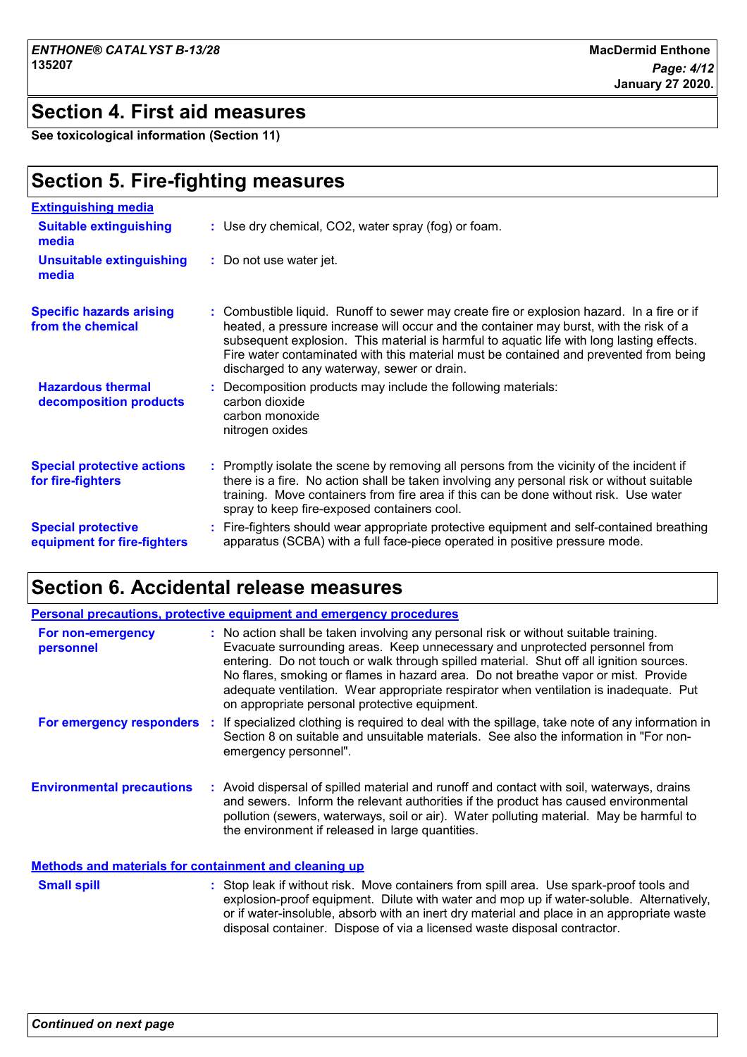### **Section 4. First aid measures**

**See toxicological information (Section 11)**

### **Section 5. Fire-fighting measures**

| <b>Extinguishing media</b>                               |                                                                                                                                                                                                                                                                                                                                                                                                                         |
|----------------------------------------------------------|-------------------------------------------------------------------------------------------------------------------------------------------------------------------------------------------------------------------------------------------------------------------------------------------------------------------------------------------------------------------------------------------------------------------------|
| <b>Suitable extinguishing</b><br>media                   | : Use dry chemical, CO2, water spray (fog) or foam.                                                                                                                                                                                                                                                                                                                                                                     |
| <b>Unsuitable extinguishing</b><br>media                 | : Do not use water jet.                                                                                                                                                                                                                                                                                                                                                                                                 |
| <b>Specific hazards arising</b><br>from the chemical     | Combustible liquid. Runoff to sewer may create fire or explosion hazard. In a fire or if<br>heated, a pressure increase will occur and the container may burst, with the risk of a<br>subsequent explosion. This material is harmful to aquatic life with long lasting effects.<br>Fire water contaminated with this material must be contained and prevented from being<br>discharged to any waterway, sewer or drain. |
| <b>Hazardous thermal</b><br>decomposition products       | Decomposition products may include the following materials:<br>carbon dioxide<br>carbon monoxide<br>nitrogen oxides                                                                                                                                                                                                                                                                                                     |
| <b>Special protective actions</b><br>for fire-fighters   | : Promptly isolate the scene by removing all persons from the vicinity of the incident if<br>there is a fire. No action shall be taken involving any personal risk or without suitable<br>training. Move containers from fire area if this can be done without risk. Use water<br>spray to keep fire-exposed containers cool.                                                                                           |
| <b>Special protective</b><br>equipment for fire-fighters | : Fire-fighters should wear appropriate protective equipment and self-contained breathing<br>apparatus (SCBA) with a full face-piece operated in positive pressure mode.                                                                                                                                                                                                                                                |

## **Section 6. Accidental release measures**

|                                                              | <b>Personal precautions, protective equipment and emergency procedures</b>                                                                                                                                                                                                                                                                                                                                                                                                                     |
|--------------------------------------------------------------|------------------------------------------------------------------------------------------------------------------------------------------------------------------------------------------------------------------------------------------------------------------------------------------------------------------------------------------------------------------------------------------------------------------------------------------------------------------------------------------------|
| For non-emergency<br>personnel                               | : No action shall be taken involving any personal risk or without suitable training.<br>Evacuate surrounding areas. Keep unnecessary and unprotected personnel from<br>entering. Do not touch or walk through spilled material. Shut off all ignition sources.<br>No flares, smoking or flames in hazard area. Do not breathe vapor or mist. Provide<br>adequate ventilation. Wear appropriate respirator when ventilation is inadequate. Put<br>on appropriate personal protective equipment. |
| For emergency responders                                     | If specialized clothing is required to deal with the spillage, take note of any information in<br>Section 8 on suitable and unsuitable materials. See also the information in "For non-<br>emergency personnel".                                                                                                                                                                                                                                                                               |
| <b>Environmental precautions</b>                             | : Avoid dispersal of spilled material and runoff and contact with soil, waterways, drains<br>and sewers. Inform the relevant authorities if the product has caused environmental<br>pollution (sewers, waterways, soil or air). Water polluting material. May be harmful to<br>the environment if released in large quantities.                                                                                                                                                                |
| <b>Methods and materials for containment and cleaning up</b> |                                                                                                                                                                                                                                                                                                                                                                                                                                                                                                |
| <b>Small spill</b>                                           | : Stop leak if without risk. Move containers from spill area. Use spark-proof tools and<br>explosion-proof equipment. Dilute with water and mop up if water-soluble. Alternatively,<br>or if water-insoluble, absorb with an inert dry material and place in an appropriate waste                                                                                                                                                                                                              |

disposal container. Dispose of via a licensed waste disposal contractor.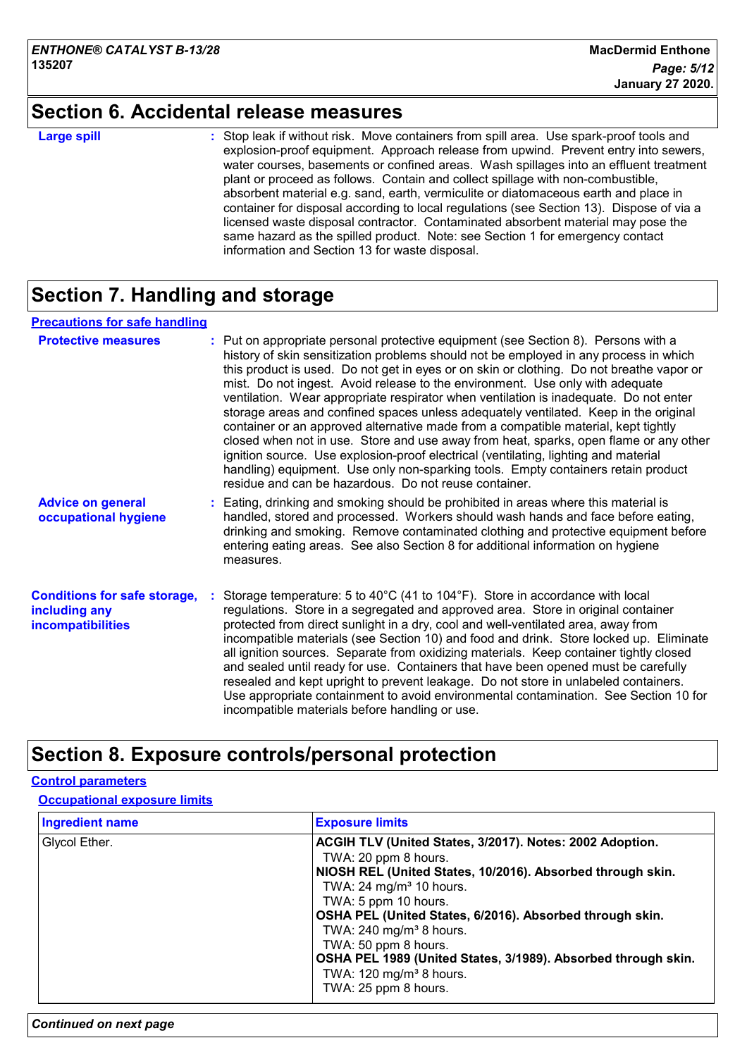### **Section 6. Accidental release measures**

|     | Δ | - | oill |
|-----|---|---|------|
| аго |   |   |      |

**Large spill the container of the Stop leak if without risk. Move containers from spill area. Use spark-proof tools and <b>Large** explosion-proof equipment. Approach release from upwind. Prevent entry into sewers, water courses, basements or confined areas. Wash spillages into an effluent treatment plant or proceed as follows. Contain and collect spillage with non-combustible, absorbent material e.g. sand, earth, vermiculite or diatomaceous earth and place in container for disposal according to local regulations (see Section 13). Dispose of via a licensed waste disposal contractor. Contaminated absorbent material may pose the same hazard as the spilled product. Note: see Section 1 for emergency contact information and Section 13 for waste disposal.

### **Section 7. Handling and storage**

#### **Precautions for safe handling**

| <b>Protective measures</b>                                                       | : Put on appropriate personal protective equipment (see Section 8). Persons with a<br>history of skin sensitization problems should not be employed in any process in which<br>this product is used. Do not get in eyes or on skin or clothing. Do not breathe vapor or<br>mist. Do not ingest. Avoid release to the environment. Use only with adequate<br>ventilation. Wear appropriate respirator when ventilation is inadequate. Do not enter<br>storage areas and confined spaces unless adequately ventilated. Keep in the original<br>container or an approved alternative made from a compatible material, kept tightly<br>closed when not in use. Store and use away from heat, sparks, open flame or any other<br>ignition source. Use explosion-proof electrical (ventilating, lighting and material<br>handling) equipment. Use only non-sparking tools. Empty containers retain product<br>residue and can be hazardous. Do not reuse container. |
|----------------------------------------------------------------------------------|---------------------------------------------------------------------------------------------------------------------------------------------------------------------------------------------------------------------------------------------------------------------------------------------------------------------------------------------------------------------------------------------------------------------------------------------------------------------------------------------------------------------------------------------------------------------------------------------------------------------------------------------------------------------------------------------------------------------------------------------------------------------------------------------------------------------------------------------------------------------------------------------------------------------------------------------------------------|
| <b>Advice on general</b><br>occupational hygiene                                 | : Eating, drinking and smoking should be prohibited in areas where this material is<br>handled, stored and processed. Workers should wash hands and face before eating,<br>drinking and smoking. Remove contaminated clothing and protective equipment before<br>entering eating areas. See also Section 8 for additional information on hygiene<br>measures.                                                                                                                                                                                                                                                                                                                                                                                                                                                                                                                                                                                                 |
| <b>Conditions for safe storage,</b><br>including any<br><b>incompatibilities</b> | Storage temperature: 5 to 40 $^{\circ}$ C (41 to 104 $^{\circ}$ F). Store in accordance with local<br>regulations. Store in a segregated and approved area. Store in original container<br>protected from direct sunlight in a dry, cool and well-ventilated area, away from<br>incompatible materials (see Section 10) and food and drink. Store locked up. Eliminate<br>all ignition sources. Separate from oxidizing materials. Keep container tightly closed<br>and sealed until ready for use. Containers that have been opened must be carefully<br>resealed and kept upright to prevent leakage. Do not store in unlabeled containers.<br>Use appropriate containment to avoid environmental contamination. See Section 10 for<br>incompatible materials before handling or use.                                                                                                                                                                       |

### **Section 8. Exposure controls/personal protection**

#### **Control parameters**

#### **Occupational exposure limits**

| <b>Ingredient name</b> | <b>Exposure limits</b>                                                                                                                                                                                                                                                                                                                                                                                                                                                   |
|------------------------|--------------------------------------------------------------------------------------------------------------------------------------------------------------------------------------------------------------------------------------------------------------------------------------------------------------------------------------------------------------------------------------------------------------------------------------------------------------------------|
| Glycol Ether.          | ACGIH TLV (United States, 3/2017). Notes: 2002 Adoption.<br>TWA: 20 ppm 8 hours.<br>NIOSH REL (United States, 10/2016). Absorbed through skin.<br>TWA: $24 \text{ mg/m}^3$ 10 hours.<br>TWA: 5 ppm 10 hours.<br>OSHA PEL (United States, 6/2016). Absorbed through skin.<br>TWA: $240$ mg/m <sup>3</sup> 8 hours.<br>TWA: 50 ppm 8 hours.<br>OSHA PEL 1989 (United States, 3/1989). Absorbed through skin.<br>TWA: $120 \text{ mg/m}^3$ 8 hours.<br>TWA: 25 ppm 8 hours. |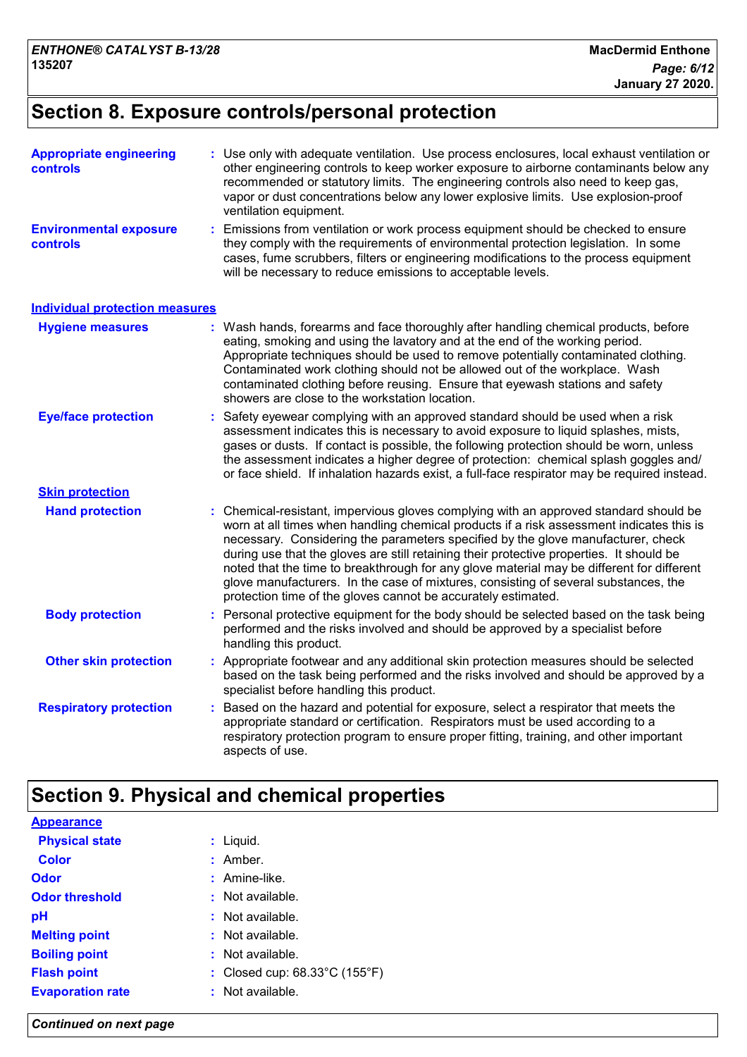### **Section 8. Exposure controls/personal protection**

| <b>Appropriate engineering</b><br><b>controls</b> |    | : Use only with adequate ventilation. Use process enclosures, local exhaust ventilation or<br>other engineering controls to keep worker exposure to airborne contaminants below any<br>recommended or statutory limits. The engineering controls also need to keep gas,<br>vapor or dust concentrations below any lower explosive limits. Use explosion-proof<br>ventilation equipment.                                                                                                                                                                                                                              |
|---------------------------------------------------|----|----------------------------------------------------------------------------------------------------------------------------------------------------------------------------------------------------------------------------------------------------------------------------------------------------------------------------------------------------------------------------------------------------------------------------------------------------------------------------------------------------------------------------------------------------------------------------------------------------------------------|
| <b>Environmental exposure</b><br>controls         |    | Emissions from ventilation or work process equipment should be checked to ensure<br>they comply with the requirements of environmental protection legislation. In some<br>cases, fume scrubbers, filters or engineering modifications to the process equipment<br>will be necessary to reduce emissions to acceptable levels.                                                                                                                                                                                                                                                                                        |
| <b>Individual protection measures</b>             |    |                                                                                                                                                                                                                                                                                                                                                                                                                                                                                                                                                                                                                      |
| <b>Hygiene measures</b>                           |    | : Wash hands, forearms and face thoroughly after handling chemical products, before<br>eating, smoking and using the lavatory and at the end of the working period.<br>Appropriate techniques should be used to remove potentially contaminated clothing.<br>Contaminated work clothing should not be allowed out of the workplace. Wash<br>contaminated clothing before reusing. Ensure that eyewash stations and safety<br>showers are close to the workstation location.                                                                                                                                          |
| <b>Eye/face protection</b>                        |    | Safety eyewear complying with an approved standard should be used when a risk<br>assessment indicates this is necessary to avoid exposure to liquid splashes, mists,<br>gases or dusts. If contact is possible, the following protection should be worn, unless<br>the assessment indicates a higher degree of protection: chemical splash goggles and/<br>or face shield. If inhalation hazards exist, a full-face respirator may be required instead.                                                                                                                                                              |
| <b>Skin protection</b>                            |    |                                                                                                                                                                                                                                                                                                                                                                                                                                                                                                                                                                                                                      |
| <b>Hand protection</b>                            |    | Chemical-resistant, impervious gloves complying with an approved standard should be<br>worn at all times when handling chemical products if a risk assessment indicates this is<br>necessary. Considering the parameters specified by the glove manufacturer, check<br>during use that the gloves are still retaining their protective properties. It should be<br>noted that the time to breakthrough for any glove material may be different for different<br>glove manufacturers. In the case of mixtures, consisting of several substances, the<br>protection time of the gloves cannot be accurately estimated. |
| <b>Body protection</b>                            |    | Personal protective equipment for the body should be selected based on the task being<br>performed and the risks involved and should be approved by a specialist before<br>handling this product.                                                                                                                                                                                                                                                                                                                                                                                                                    |
| <b>Other skin protection</b>                      |    | : Appropriate footwear and any additional skin protection measures should be selected<br>based on the task being performed and the risks involved and should be approved by a<br>specialist before handling this product.                                                                                                                                                                                                                                                                                                                                                                                            |
| <b>Respiratory protection</b>                     | t. | Based on the hazard and potential for exposure, select a respirator that meets the<br>appropriate standard or certification. Respirators must be used according to a<br>respiratory protection program to ensure proper fitting, training, and other important<br>aspects of use.                                                                                                                                                                                                                                                                                                                                    |

### **Section 9. Physical and chemical properties**

| <b>Appearance</b>       |                                                    |
|-------------------------|----------------------------------------------------|
| <b>Physical state</b>   | : Liquid.                                          |
| <b>Color</b>            | $:$ Amber.                                         |
| Odor                    | $:$ Amine-like.                                    |
| <b>Odor threshold</b>   | : Not available.                                   |
| рH                      | $:$ Not available.                                 |
| <b>Melting point</b>    | $:$ Not available.                                 |
| <b>Boiling point</b>    | $:$ Not available.                                 |
| <b>Flash point</b>      | : Closed cup: $68.33^{\circ}$ C (155 $^{\circ}$ F) |
| <b>Evaporation rate</b> | $:$ Not available.                                 |
|                         |                                                    |

*Continued on next page*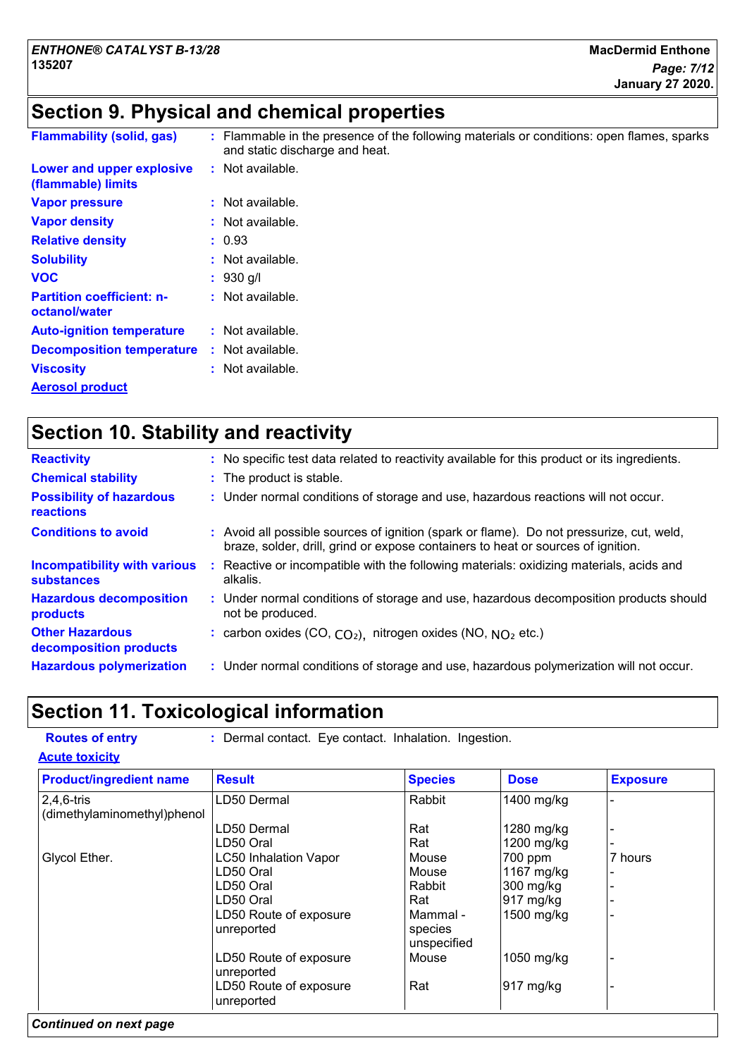### **Section 9. Physical and chemical properties**

| <b>Flammability (solid, gas)</b>                  | : Flammable in the presence of the following materials or conditions: open flames, sparks<br>and static discharge and heat. |
|---------------------------------------------------|-----------------------------------------------------------------------------------------------------------------------------|
| Lower and upper explosive<br>(flammable) limits   | $:$ Not available.                                                                                                          |
| <b>Vapor pressure</b>                             | : Not available.                                                                                                            |
| <b>Vapor density</b>                              | $:$ Not available.                                                                                                          |
| <b>Relative density</b>                           | : 0.93                                                                                                                      |
| <b>Solubility</b>                                 | $:$ Not available.                                                                                                          |
| <b>VOC</b>                                        | $: 930$ g/l                                                                                                                 |
| <b>Partition coefficient: n-</b><br>octanol/water | : Not available.                                                                                                            |
| <b>Auto-ignition temperature</b>                  | : Not available.                                                                                                            |
| <b>Decomposition temperature</b>                  | $:$ Not available.                                                                                                          |
| <b>Viscosity</b>                                  | $:$ Not available.                                                                                                          |
| <b>Aerosol product</b>                            |                                                                                                                             |

### **Section 10. Stability and reactivity**

| <b>Reactivity</b>                                 |    | : No specific test data related to reactivity available for this product or its ingredients.                                                                                 |
|---------------------------------------------------|----|------------------------------------------------------------------------------------------------------------------------------------------------------------------------------|
| <b>Chemical stability</b>                         |    | : The product is stable.                                                                                                                                                     |
| <b>Possibility of hazardous</b><br>reactions      |    | : Under normal conditions of storage and use, hazardous reactions will not occur.                                                                                            |
| <b>Conditions to avoid</b>                        |    | : Avoid all possible sources of ignition (spark or flame). Do not pressurize, cut, weld,<br>braze, solder, drill, grind or expose containers to heat or sources of ignition. |
| Incompatibility with various<br><b>substances</b> | ÷. | Reactive or incompatible with the following materials: oxidizing materials, acids and<br>alkalis.                                                                            |
| <b>Hazardous decomposition</b><br>products        |    | : Under normal conditions of storage and use, hazardous decomposition products should<br>not be produced.                                                                    |
| <b>Other Hazardous</b><br>decomposition products  |    | : carbon oxides (CO, $CO2$ ), nitrogen oxides (NO, $NO2$ etc.)                                                                                                               |
| <b>Hazardous polymerization</b>                   |    | : Under normal conditions of storage and use, hazardous polymerization will not occur.                                                                                       |

### **Section 11. Toxicological information**

**Routes of entry :** Dermal contact. Eye contact. Inhalation. Ingestion.

**Acute toxicity**

| <b>Product/ingredient name</b> | <b>Result</b>                | <b>Species</b> | <b>Dose</b>         | <b>Exposure</b> |
|--------------------------------|------------------------------|----------------|---------------------|-----------------|
| $2,4,6$ -tris                  | LD50 Dermal                  | Rabbit         | 1400 mg/kg          |                 |
| (dimethylaminomethyl)phenol    |                              |                |                     |                 |
|                                | LD50 Dermal                  | Rat            | 1280 mg/kg          |                 |
|                                | LD50 Oral                    | Rat            | 1200 mg/kg          |                 |
| Glycol Ether.                  | <b>LC50 Inhalation Vapor</b> | Mouse          | 700 ppm             | 7 hours         |
|                                | LD50 Oral                    | Mouse          | 1167 mg/kg          |                 |
|                                | LD50 Oral                    | Rabbit         | 300 mg/kg           |                 |
|                                | LD50 Oral                    | Rat            | 917 mg/kg           |                 |
|                                | LD50 Route of exposure       | Mammal -       | 1500 mg/kg          |                 |
|                                | unreported                   | species        |                     |                 |
|                                |                              | unspecified    |                     |                 |
|                                | LD50 Route of exposure       | Mouse          | 1050 mg/kg          |                 |
|                                | unreported                   |                |                     |                 |
|                                | LD50 Route of exposure       | Rat            | $917 \text{ mg/kg}$ |                 |
|                                | unreported                   |                |                     |                 |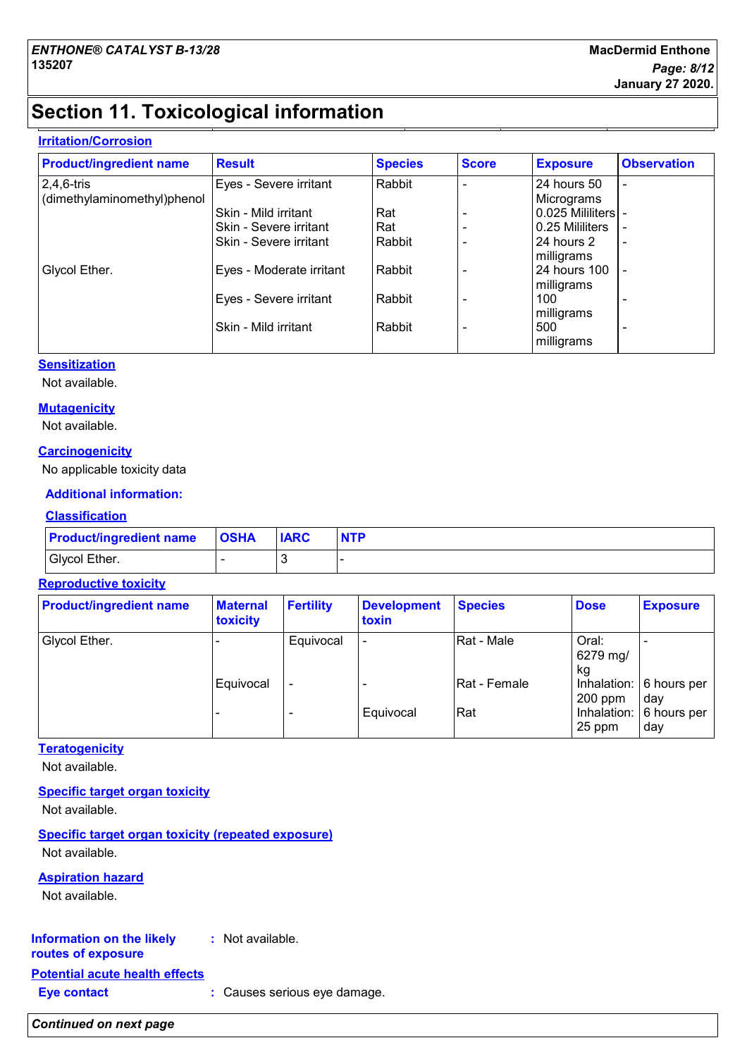### **Section 11. Toxicological information**

#### **Irritation/Corrosion**

| <b>Product/ingredient name</b> | <b>Result</b>            | <b>Species</b> | <b>Score</b> | <b>Exposure</b>     | <b>Observation</b>       |
|--------------------------------|--------------------------|----------------|--------------|---------------------|--------------------------|
| $2,4,6$ -tris                  | Eyes - Severe irritant   | Rabbit         |              | 24 hours 50         | $\overline{\phantom{a}}$ |
| (dimethylaminomethyl)phenol    |                          |                |              | Micrograms          |                          |
|                                | Skin - Mild irritant     | Rat            |              | 0.025 Mililiters  - |                          |
|                                | Skin - Severe irritant   | Rat            |              | 0.25 Mililiters     |                          |
|                                | Skin - Severe irritant   | Rabbit         |              | 24 hours 2          | $\overline{\phantom{a}}$ |
|                                |                          |                |              | milligrams          |                          |
| Glycol Ether.                  | Eyes - Moderate irritant | Rabbit         |              | <b>24 hours 100</b> |                          |
|                                |                          |                |              | milligrams          |                          |
|                                | Eyes - Severe irritant   | Rabbit         |              | 100                 |                          |
|                                |                          |                |              | milligrams          |                          |
|                                | Skin - Mild irritant     | Rabbit         |              | 500                 | $\overline{\phantom{0}}$ |
|                                |                          |                |              | milligrams          |                          |

#### **Sensitization**

Not available.

#### **Mutagenicity**

Not available.

#### **Carcinogenicity**

No applicable toxicity data

#### **Additional information:**

#### **Classification**

| <b>Product/ingredient name OSHA</b> | <b>IARC</b> | <b>NTP</b> |
|-------------------------------------|-------------|------------|
| Glycol Ether.                       |             |            |

#### **Reproductive toxicity**

| <b>Product/ingredient name</b> | <b>Maternal</b><br>toxicity | <b>Fertility</b>         | <b>Development</b><br>toxin | <b>Species</b> | <b>Dose</b>             | <b>Exposure</b>                |
|--------------------------------|-----------------------------|--------------------------|-----------------------------|----------------|-------------------------|--------------------------------|
| Glycol Ether.                  |                             | Equivocal                | $\overline{\phantom{0}}$    | Rat - Male     | Oral:<br>6279 mg/<br>kg |                                |
|                                | Equivocal                   | $\overline{\phantom{0}}$ |                             | Rat - Female   | $200$ ppm               | Inhalation: 6 hours per<br>dav |
|                                |                             | -                        | Equivocal                   | Rat            | 25 ppm                  | Inhalation: 6 hours per<br>dav |

#### **Teratogenicity**

Not available.

#### **Specific target organ toxicity**

Not available.

**Specific target organ toxicity (repeated exposure)** Not available.

#### **Aspiration hazard**

Not available.

#### **Information on the likely :** Not available.

### **routes of exposure**

**Potential acute health effects**

**Eye contact :** Causes serious eye damage.

#### *Continued on next page*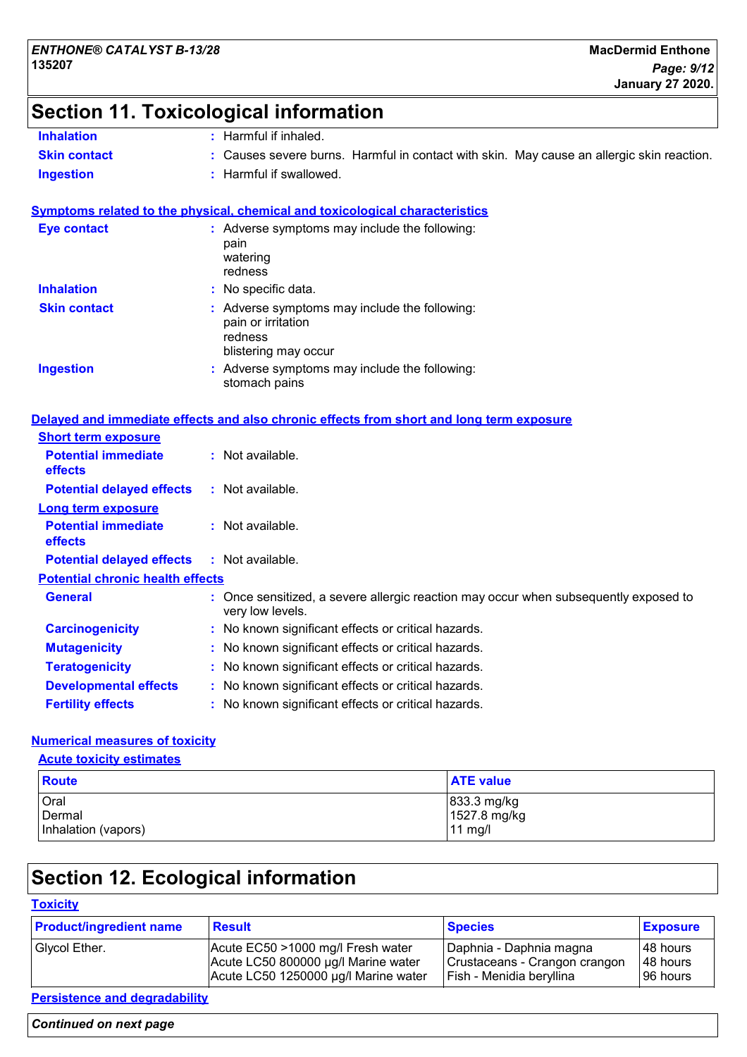# **Section 11. Toxicological information**

| <b>Inhalation</b>   | Harmful if inhaled.                                                                       |
|---------------------|-------------------------------------------------------------------------------------------|
| <b>Skin contact</b> | : Causes severe burns. Harmful in contact with skin. May cause an allergic skin reaction. |
| Ingestion           | : Harmful if swallowed.                                                                   |

|                     | <b>Symptoms related to the physical, chemical and toxicological characteristics</b>                    |
|---------------------|--------------------------------------------------------------------------------------------------------|
| <b>Eye contact</b>  | : Adverse symptoms may include the following:<br>pain<br>watering<br>redness                           |
| <b>Inhalation</b>   | : No specific data.                                                                                    |
| <b>Skin contact</b> | : Adverse symptoms may include the following:<br>pain or irritation<br>redness<br>blistering may occur |
| <b>Ingestion</b>    | : Adverse symptoms may include the following:                                                          |

stomach pains

#### **Delayed and immediate effects and also chronic effects from short and long term exposure**

| <b>Short term exposure</b>                   |                                                                                                          |
|----------------------------------------------|----------------------------------------------------------------------------------------------------------|
| <b>Potential immediate</b><br><b>effects</b> | $:$ Not available.                                                                                       |
| <b>Potential delayed effects</b>             | $:$ Not available.                                                                                       |
| Long term exposure                           |                                                                                                          |
| <b>Potential immediate</b><br><b>effects</b> | $:$ Not available.                                                                                       |
| <b>Potential delayed effects</b>             | : Not available.                                                                                         |
| <b>Potential chronic health effects</b>      |                                                                                                          |
| <b>General</b>                               | : Once sensitized, a severe allergic reaction may occur when subsequently exposed to<br>very low levels. |
| <b>Carcinogenicity</b>                       | : No known significant effects or critical hazards.                                                      |
| <b>Mutagenicity</b>                          | : No known significant effects or critical hazards.                                                      |
| <b>Teratogenicity</b>                        | : No known significant effects or critical hazards.                                                      |
| <b>Developmental effects</b>                 | : No known significant effects or critical hazards.                                                      |
| <b>Fertility effects</b>                     | : No known significant effects or critical hazards.                                                      |

#### **Numerical measures of toxicity**

**Acute toxicity estimates**

| Route               | <b>ATE value</b> |
|---------------------|------------------|
| <b>Oral</b>         | 833.3 mg/kg      |
| Dermal              | 1527.8 mg/kg     |
| Inhalation (vapors) | $11$ mg/         |

# **Section 12. Ecological information**

#### **Toxicity**

| <b>Product/ingredient name</b> | <b>Result</b>                        | <b>Species</b>                | <b>Exposure</b> |
|--------------------------------|--------------------------------------|-------------------------------|-----------------|
| Glycol Ether.                  | Acute EC50 >1000 mg/l Fresh water    | Daphnia - Daphnia magna       | l 48 hours      |
|                                | Acute LC50 800000 µg/l Marine water  | Crustaceans - Crangon crangon | 48 hours        |
|                                | Acute LC50 1250000 µg/l Marine water | Fish - Menidia beryllina      | 196 hours       |

### **Persistence and degradability**

| <b>Continued on next page</b> |  |
|-------------------------------|--|
|-------------------------------|--|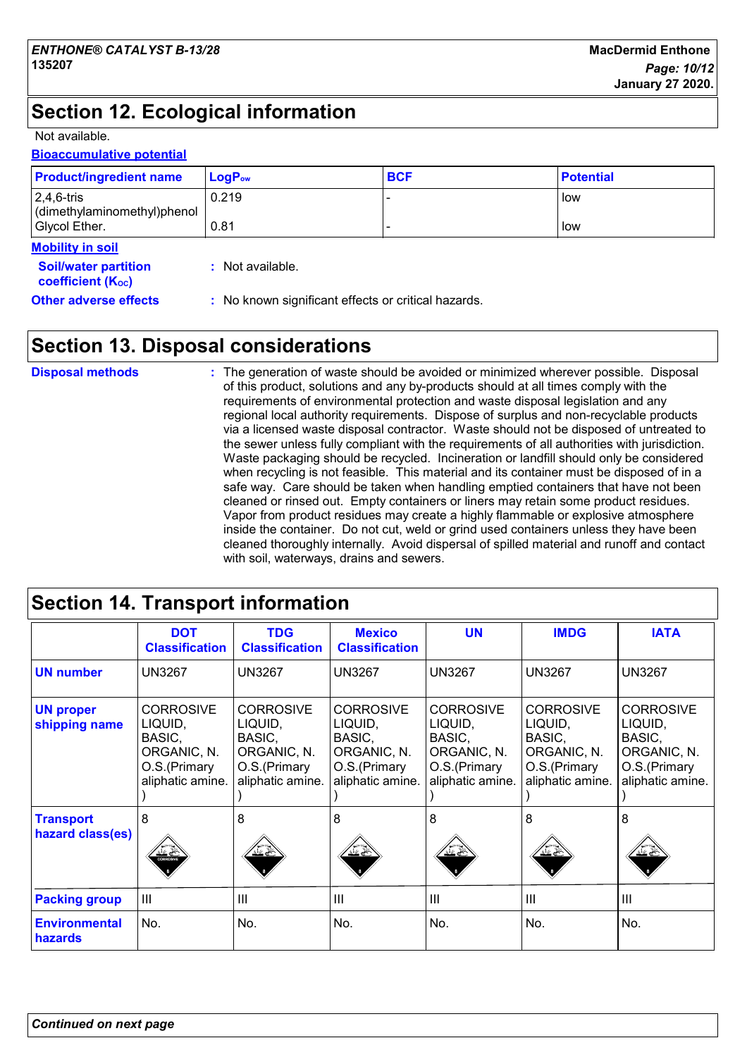# **Section 12. Ecological information**

Not available.

#### **Bioaccumulative potential**

| <b>Product/ingredient name</b>                               | $LogP_{ow}$                                         | <b>BCF</b> | <b>Potential</b> |
|--------------------------------------------------------------|-----------------------------------------------------|------------|------------------|
| $2,4,6$ -tris<br>dimethylaminomethyl)phenol<br>Glycol Ether. | 0.219<br>0.81                                       |            | low<br>low       |
| <b>Mobility in soil</b>                                      |                                                     |            |                  |
|                                                              |                                                     |            |                  |
| <b>Soil/water partition</b><br><b>coefficient (Koc)</b>      | : Not available.                                    |            |                  |
| <b>Other adverse effects</b>                                 | : No known significant effects or critical hazards. |            |                  |

### **Section 13. Disposal considerations**

| <b>Disposal methods</b> | : The generation of waste should be avoided or minimized wherever possible. Disposal<br>of this product, solutions and any by-products should at all times comply with the<br>requirements of environmental protection and waste disposal legislation and any<br>regional local authority requirements. Dispose of surplus and non-recyclable products<br>via a licensed waste disposal contractor. Waste should not be disposed of untreated to<br>the sewer unless fully compliant with the requirements of all authorities with jurisdiction.<br>Waste packaging should be recycled. Incineration or landfill should only be considered<br>when recycling is not feasible. This material and its container must be disposed of in a<br>safe way. Care should be taken when handling emptied containers that have not been<br>cleaned or rinsed out. Empty containers or liners may retain some product residues.<br>Vapor from product residues may create a highly flammable or explosive atmosphere<br>inside the container. Do not cut, weld or grind used containers unless they have been |
|-------------------------|---------------------------------------------------------------------------------------------------------------------------------------------------------------------------------------------------------------------------------------------------------------------------------------------------------------------------------------------------------------------------------------------------------------------------------------------------------------------------------------------------------------------------------------------------------------------------------------------------------------------------------------------------------------------------------------------------------------------------------------------------------------------------------------------------------------------------------------------------------------------------------------------------------------------------------------------------------------------------------------------------------------------------------------------------------------------------------------------------|
|                         | cleaned thoroughly internally. Avoid dispersal of spilled material and runoff and contact<br>with soil, waterways, drains and sewers.                                                                                                                                                                                                                                                                                                                                                                                                                                                                                                                                                                                                                                                                                                                                                                                                                                                                                                                                                             |

# **Section 14. Transport information**

|                                      | <b>DOT</b><br><b>Classification</b>                                                      | <b>TDG</b><br><b>Classification</b>                                                      | <b>Mexico</b><br><b>Classification</b>                                                   | <b>UN</b>                                                                                 | <b>IMDG</b>                                                                              | <b>IATA</b>                                                                              |
|--------------------------------------|------------------------------------------------------------------------------------------|------------------------------------------------------------------------------------------|------------------------------------------------------------------------------------------|-------------------------------------------------------------------------------------------|------------------------------------------------------------------------------------------|------------------------------------------------------------------------------------------|
| <b>UN number</b>                     | <b>UN3267</b>                                                                            | <b>UN3267</b>                                                                            | <b>UN3267</b>                                                                            | <b>UN3267</b>                                                                             | <b>UN3267</b>                                                                            | <b>UN3267</b>                                                                            |
| <b>UN proper</b><br>shipping name    | <b>CORROSIVE</b><br>LIQUID,<br>BASIC,<br>ORGANIC, N.<br>O.S.(Primary<br>aliphatic amine. | <b>CORROSIVE</b><br>LIQUID,<br>BASIC,<br>ORGANIC, N.<br>O.S.(Primary<br>aliphatic amine. | <b>CORROSIVE</b><br>LIQUID,<br>BASIC,<br>ORGANIC, N.<br>O.S.(Primary<br>aliphatic amine. | <b>CORROSIVE</b><br>LIQUID,<br>BASIC,<br>ORGANIC, N.<br>O.S. (Primary<br>aliphatic amine. | <b>CORROSIVE</b><br>LIQUID,<br>BASIC,<br>ORGANIC, N.<br>O.S.(Primary<br>aliphatic amine. | <b>CORROSIVE</b><br>LIQUID,<br>BASIC,<br>ORGANIC, N.<br>O.S.(Primary<br>aliphatic amine. |
| <b>Transport</b><br>hazard class(es) | 8<br><b>CORROSIVE</b>                                                                    | 8<br>≚≚                                                                                  | 8                                                                                        | 8                                                                                         | 8                                                                                        | 8                                                                                        |
| <b>Packing group</b>                 | III                                                                                      | III                                                                                      | $\mathbf{III}$                                                                           | Ш                                                                                         | $\mathbf{III}$                                                                           | III                                                                                      |
| <b>Environmental</b><br>hazards      | No.                                                                                      | No.                                                                                      | No.                                                                                      | No.                                                                                       | No.                                                                                      | No.                                                                                      |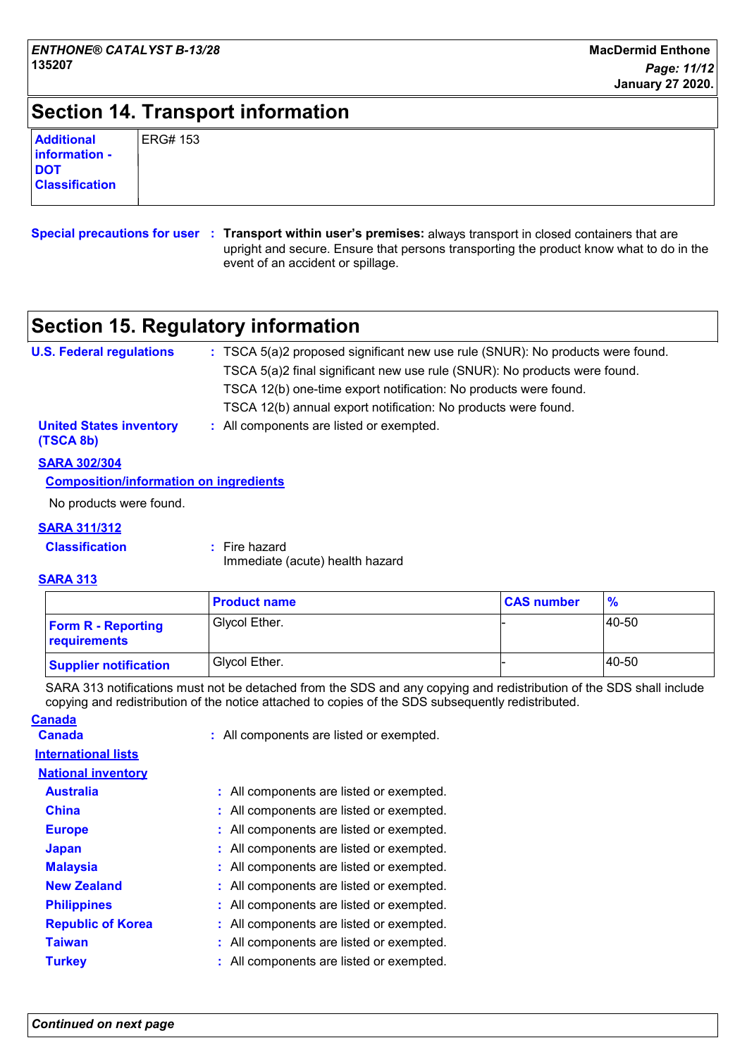### **Section 14. Transport information**

| <b>ERG#153</b> |
|----------------|
|                |
|                |
|                |

**Special precautions for user Transport within user's premises:** always transport in closed containers that are **:** upright and secure. Ensure that persons transporting the product know what to do in the event of an accident or spillage.

### **Section 15. Regulatory information**

| <b>U.S. Federal regulations</b>                                   | : TSCA 5(a)2 proposed significant new use rule (SNUR): No products were found. |
|-------------------------------------------------------------------|--------------------------------------------------------------------------------|
|                                                                   | TSCA 5(a)2 final significant new use rule (SNUR): No products were found.      |
|                                                                   | TSCA 12(b) one-time export notification: No products were found.               |
|                                                                   | TSCA 12(b) annual export notification: No products were found.                 |
| <b>United States inventory</b><br>(TSCA 8b)                       | : All components are listed or exempted.                                       |
| <b>SARA 302/304</b>                                               |                                                                                |
| A constructed and the fundamental contracts the constitution of a |                                                                                |

#### **Composition/information on ingredients**

No products were found.

#### **SARA 311/312**

| <b>Classification</b> | : Fire hazard |
|-----------------------|---------------|
|                       |               |

Immediate (acute) health hazard

#### **SARA 313**

|                                           | <b>Product name</b> | <b>CAS number</b> | $\frac{9}{6}$ |
|-------------------------------------------|---------------------|-------------------|---------------|
| <b>Form R - Reporting</b><br>requirements | Glycol Ether.       |                   | 140-50        |
| <b>Supplier notification</b>              | Glycol Ether.       |                   | 40-50         |

SARA 313 notifications must not be detached from the SDS and any copying and redistribution of the SDS shall include copying and redistribution of the notice attached to copies of the SDS subsequently redistributed.

| <u>Canada</u>              |                                          |
|----------------------------|------------------------------------------|
| <b>Canada</b>              | : All components are listed or exempted. |
| <b>International lists</b> |                                          |
| <b>National inventory</b>  |                                          |
| <b>Australia</b>           | : All components are listed or exempted. |
| <b>China</b>               | : All components are listed or exempted. |
| <b>Europe</b>              | : All components are listed or exempted. |
| <b>Japan</b>               | : All components are listed or exempted. |
| <b>Malaysia</b>            | : All components are listed or exempted. |
| <b>New Zealand</b>         | : All components are listed or exempted. |
| <b>Philippines</b>         | All components are listed or exempted.   |
| <b>Republic of Korea</b>   | : All components are listed or exempted. |
| <b>Taiwan</b>              | : All components are listed or exempted. |
| <b>Turkey</b>              | : All components are listed or exempted. |